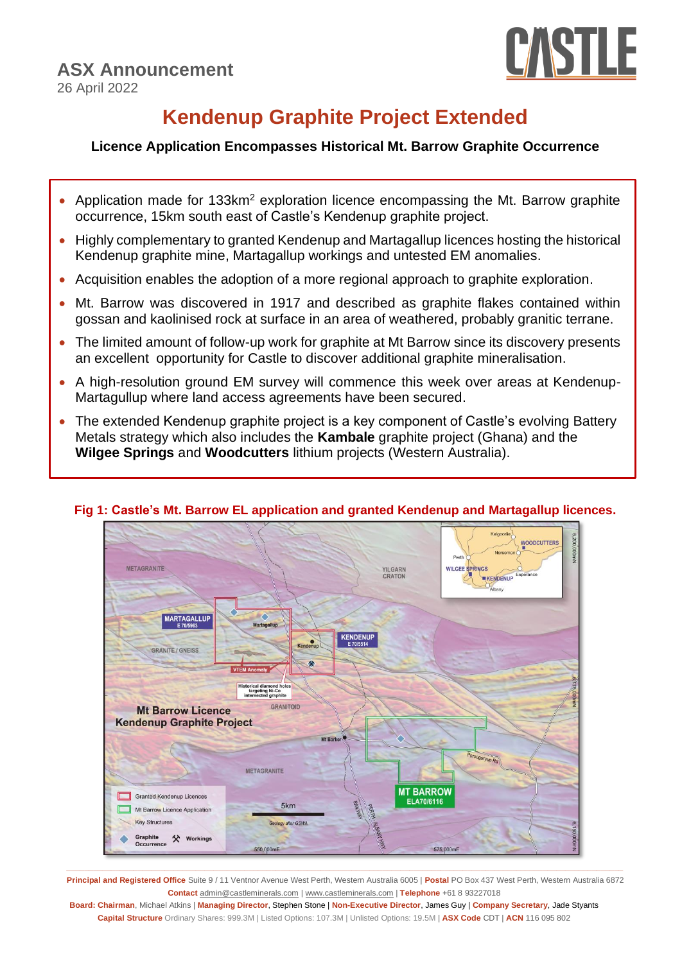

# **Kendenup Graphite Project Extended**

# **Licence Application Encompasses Historical Mt. Barrow Graphite Occurrence**

- Application made for 133km<sup>2</sup> exploration licence encompassing the Mt. Barrow graphite occurrence, 15km south east of Castle's Kendenup graphite project.
- Highly complementary to granted Kendenup and Martagallup licences hosting the historical Kendenup graphite mine, Martagallup workings and untested EM anomalies.
- Acquisition enables the adoption of a more regional approach to graphite exploration.
- Mt. Barrow was discovered in 1917 and described as graphite flakes contained within gossan and kaolinised rock at surface in an area of weathered, probably granitic terrane.
- The limited amount of follow-up work for graphite at Mt Barrow since its discovery presents an excellent opportunity for Castle to discover additional graphite mineralisation.
- A high-resolution ground EM survey will commence this week over areas at Kendenup-Martagullup where land access agreements have been secured.
- The extended Kendenup graphite project is a key component of Castle's evolving Battery Metals strategy which also includes the **Kambale** graphite project (Ghana) and the **Wilgee Springs** and **Woodcutters** lithium projects (Western Australia).



# **Fig 1: Castle's Mt. Barrow EL application and granted Kendenup and Martagallup licences.**

**\_\_\_\_\_\_\_\_\_\_\_\_\_\_\_\_\_\_\_\_\_\_\_\_\_\_\_\_\_\_\_\_\_\_\_\_\_\_\_\_\_\_\_\_\_\_\_\_\_\_\_\_\_\_\_\_\_\_\_\_\_\_\_\_\_\_\_\_\_\_\_\_\_\_\_\_\_\_\_\_\_\_\_\_\_\_\_\_\_\_\_\_\_\_\_\_\_\_\_\_\_\_\_\_\_\_\_\_\_\_\_\_\_\_\_\_\_\_\_\_\_\_\_\_\_ Principal and Registered Office** Suite 9 / 11 Ventnor Avenue West Perth, Western Australia 6005 | **Postal** PO Box 437 West Perth, Western Australia 6872 **Contact** [admin@castleminerals.com](mailto:admin@castleminerals.com) [| www.castleminerals.com](http://www.castleminerals.com/) | **Telephone** +61 8 93227018

**Board: Chairman**, Michael Atkins | **Managing Director**, Stephen Stone | **Non-Executive Director**, James Guy | **Company Secretary**, Jade Styants **Capital Structure** Ordinary Shares: 999.3M | Listed Options: 107.3M | Unlisted Options: 19.5M | **ASX Code** CDT | **ACN** 116 095 802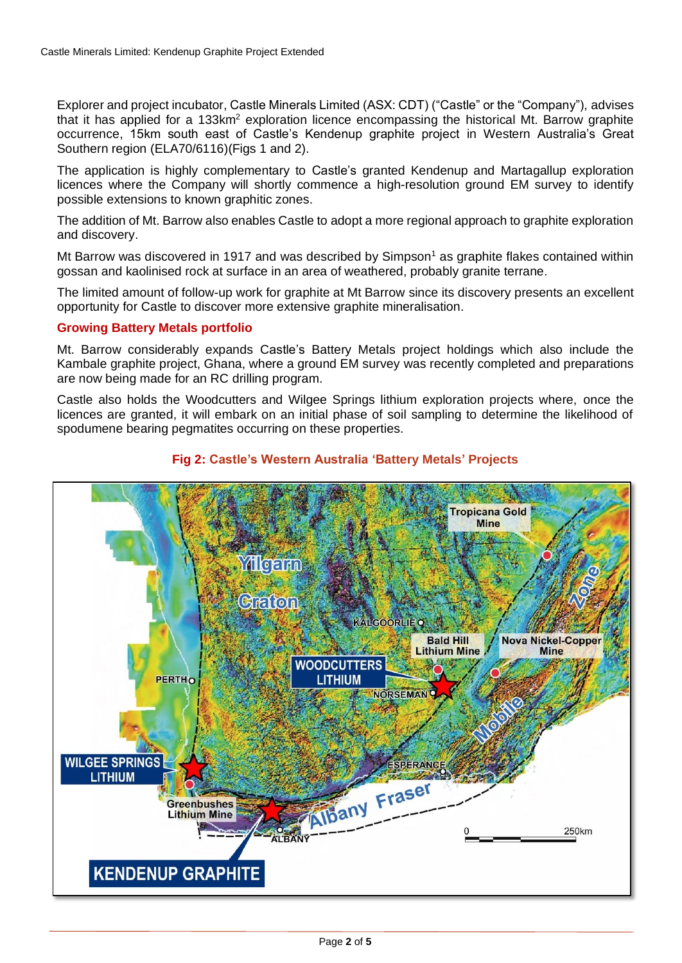Explorer and project incubator, Castle Minerals Limited (ASX: CDT) ("Castle" or the "Company"), advises that it has applied for a 133km<sup>2</sup> exploration licence encompassing the historical Mt. Barrow graphite occurrence, 15km south east of Castle's Kendenup graphite project in Western Australia's Great Southern region (ELA70/6116)(Figs 1 and 2).

The application is highly complementary to Castle's granted Kendenup and Martagallup exploration licences where the Company will shortly commence a high-resolution ground EM survey to identify possible extensions to known graphitic zones.

The addition of Mt. Barrow also enables Castle to adopt a more regional approach to graphite exploration and discovery.

Mt Barrow was discovered in 1917 and was described by  $Simpson<sup>1</sup>$  as graphite flakes contained within gossan and kaolinised rock at surface in an area of weathered, probably granite terrane.

The limited amount of follow-up work for graphite at Mt Barrow since its discovery presents an excellent opportunity for Castle to discover more extensive graphite mineralisation.

### **Growing Battery Metals portfolio**

Mt. Barrow considerably expands Castle's Battery Metals project holdings which also include the Kambale graphite project, Ghana, where a ground EM survey was recently completed and preparations are now being made for an RC drilling program.

Castle also holds the Woodcutters and Wilgee Springs lithium exploration projects where, once the licences are granted, it will embark on an initial phase of soil sampling to determine the likelihood of spodumene bearing pegmatites occurring on these properties.



### **Fig 2: Castle's Western Australia 'Battery Metals' Projects**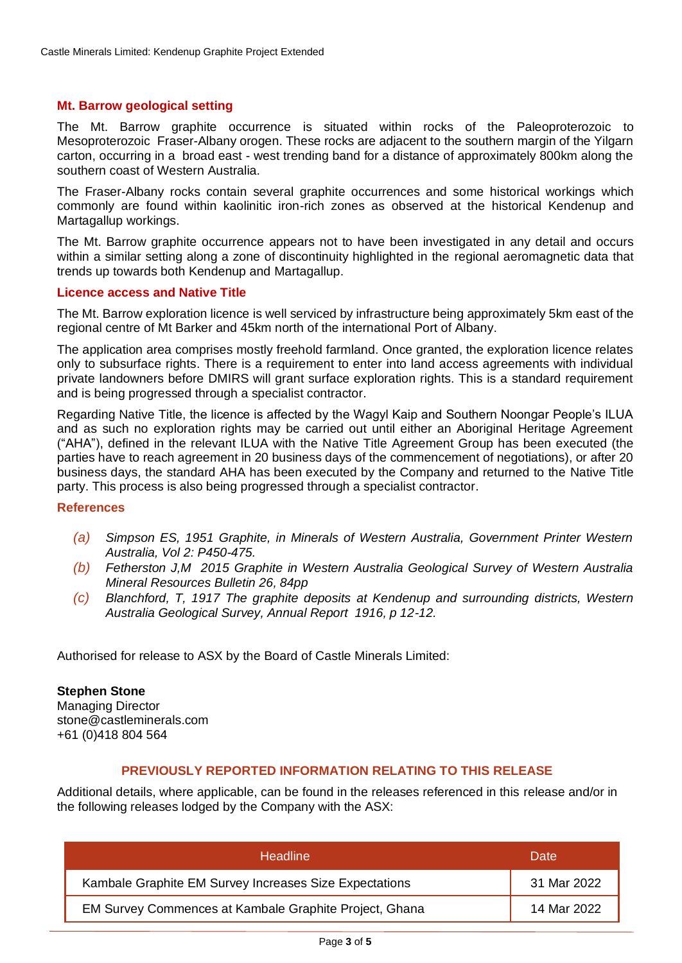### **Mt. Barrow geological setting**

The Mt. Barrow graphite occurrence is situated within rocks of the Paleoproterozoic to Mesoproterozoic Fraser-Albany orogen. These rocks are adjacent to the southern margin of the Yilgarn carton, occurring in a broad east - west trending band for a distance of approximately 800km along the southern coast of Western Australia.

The Fraser-Albany rocks contain several graphite occurrences and some historical workings which commonly are found within kaolinitic iron-rich zones as observed at the historical Kendenup and Martagallup workings.

The Mt. Barrow graphite occurrence appears not to have been investigated in any detail and occurs within a similar setting along a zone of discontinuity highlighted in the regional aeromagnetic data that trends up towards both Kendenup and Martagallup.

#### **Licence access and Native Title**

The Mt. Barrow exploration licence is well serviced by infrastructure being approximately 5km east of the regional centre of Mt Barker and 45km north of the international Port of Albany.

The application area comprises mostly freehold farmland. Once granted, the exploration licence relates only to subsurface rights. There is a requirement to enter into land access agreements with individual private landowners before DMIRS will grant surface exploration rights. This is a standard requirement and is being progressed through a specialist contractor.

Regarding Native Title, the licence is affected by the Wagyl Kaip and Southern Noongar People's ILUA and as such no exploration rights may be carried out until either an Aboriginal Heritage Agreement ("AHA"), defined in the relevant ILUA with the Native Title Agreement Group has been executed (the parties have to reach agreement in 20 business days of the commencement of negotiations), or after 20 business days, the standard AHA has been executed by the Company and returned to the Native Title party. This process is also being progressed through a specialist contractor.

#### **References**

- *(a) Simpson ES, 1951 Graphite, in Minerals of Western Australia, Government Printer Western Australia, Vol 2: P450-475.*
- *(b) Fetherston J,M 2015 Graphite in Western Australia Geological Survey of Western Australia Mineral Resources Bulletin 26, 84pp*
- *(c) Blanchford, T, 1917 The graphite deposits at Kendenup and surrounding districts, Western Australia Geological Survey, Annual Report 1916, p 12-12.*

Authorised for release to ASX by the Board of Castle Minerals Limited:

# **Stephen Stone**

Managing Director [stone@castleminerals.com](mailto:stone@castleminerals.com) +61 (0)418 804 564

# **PREVIOUSLY REPORTED INFORMATION RELATING TO THIS RELEASE**

Additional details, where applicable, can be found in the releases referenced in this release and/or in the following releases lodged by the Company with the ASX:

| <b>Headline</b>                                        | Date        |
|--------------------------------------------------------|-------------|
| Kambale Graphite EM Survey Increases Size Expectations | 31 Mar 2022 |
| EM Survey Commences at Kambale Graphite Project, Ghana | 14 Mar 2022 |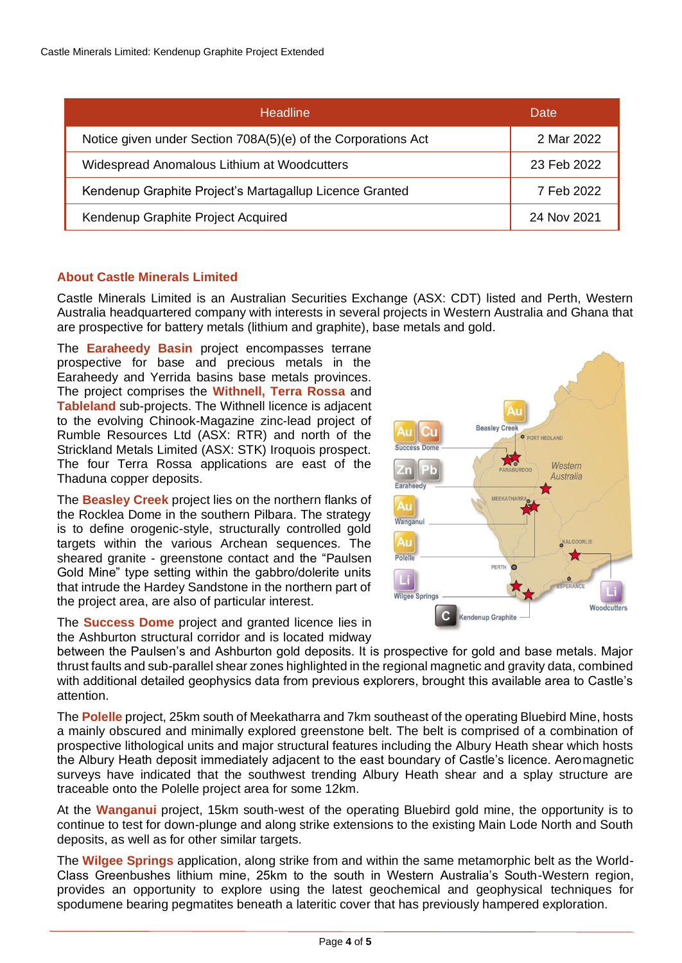| <b>Headline</b>                                               | Date        |
|---------------------------------------------------------------|-------------|
| Notice given under Section 708A(5)(e) of the Corporations Act | 2 Mar 2022  |
| Widespread Anomalous Lithium at Woodcutters                   | 23 Feb 2022 |
| Kendenup Graphite Project's Martagallup Licence Granted       | 7 Feb 2022  |
| Kendenup Graphite Project Acquired                            | 24 Nov 2021 |

# **About Castle Minerals Limited**

Castle Minerals Limited is an Australian Securities Exchange (ASX: CDT) listed and Perth, Western Australia headquartered company with interests in several projects in Western Australia and Ghana that are prospective for battery metals (lithium and graphite), base metals and gold.

The **Earaheedy Basin** project encompasses terrane prospective for base and precious metals in the Earaheedy and Yerrida basins base metals provinces. The project comprises the **Withnell, Terra Rossa** and **Tableland** sub-projects. The Withnell licence is adjacent to the evolving Chinook-Magazine zinc-lead project of Rumble Resources Ltd (ASX: RTR) and north of the Strickland Metals Limited (ASX: STK) Iroquois prospect. The four Terra Rossa applications are east of the Thaduna copper deposits.

The **Beasley Creek** project lies on the northern flanks of the Rocklea Dome in the southern Pilbara. The strategy is to define orogenic-style, structurally controlled gold targets within the various Archean sequences. The sheared granite - greenstone contact and the "Paulsen Gold Mine" type setting within the gabbro/dolerite units that intrude the Hardey Sandstone in the northern part of the project area, are also of particular interest.

The **Success Dome** project and granted licence lies in the Ashburton structural corridor and is located midway

between the Paulsen's and Ashburton gold deposits. It is prospective for gold and base metals. Major thrust faults and sub-parallel shear zones highlighted in the regional magnetic and gravity data, combined with additional detailed geophysics data from previous explorers, brought this available area to Castle's attention.

The **Polelle** project, 25km south of Meekatharra and 7km southeast of the operating Bluebird Mine, hosts a mainly obscured and minimally explored greenstone belt. The belt is comprised of a combination of prospective lithological units and major structural features including the Albury Heath shear which hosts the Albury Heath deposit immediately adjacent to the east boundary of Castle's licence. Aeromagnetic surveys have indicated that the southwest trending Albury Heath shear and a splay structure are traceable onto the Polelle project area for some 12km.

At the **Wanganui** project, 15km south-west of the operating Bluebird gold mine, the opportunity is to continue to test for down-plunge and along strike extensions to the existing Main Lode North and South deposits, as well as for other similar targets.

The **Wilgee Springs** application, along strike from and within the same metamorphic belt as the World-Class Greenbushes lithium mine, 25km to the south in Western Australia's South-Western region, provides an opportunity to explore using the latest geochemical and geophysical techniques for spodumene bearing pegmatites beneath a lateritic cover that has previously hampered exploration.